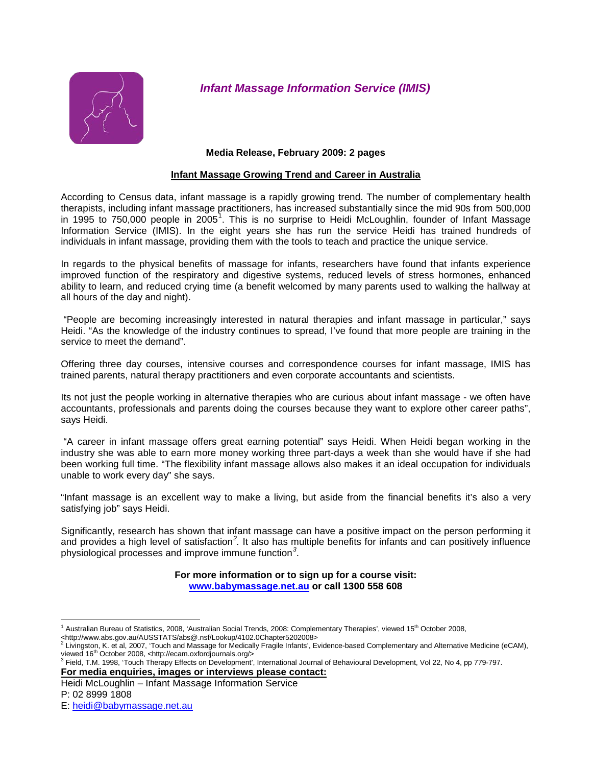

*Infant Massage Information Service (IMIS)*

### **Media Release, February 2009: 2 pages**

## **Infant Massage Growing Trend and Career in Australia**

According to Census data, infant massage is a rapidly growing trend. The number of complementary health therapists, including infant massage practitioners, has increased substantially since the mid 90s from 500,000 in [1](#page-0-0)995 to 750,000 people in 2005<sup>1</sup>. This is no surprise to Heidi McLoughlin, founder of Infant Massage Information Service (IMIS). In the eight years she has run the service Heidi has trained hundreds of individuals in infant massage, providing them with the tools to teach and practice the unique service.

In regards to the physical benefits of massage for infants, researchers have found that infants experience improved function of the respiratory and digestive systems, reduced levels of stress hormones, enhanced ability to learn, and reduced crying time (a benefit welcomed by many parents used to walking the hallway at all hours of the day and night).

"People are becoming increasingly interested in natural therapies and infant massage in particular," says Heidi. "As the knowledge of the industry continues to spread, I've found that more people are training in the service to meet the demand".

Offering three day courses, intensive courses and correspondence courses for infant massage, IMIS has trained parents, natural therapy practitioners and even corporate accountants and scientists.

Its not just the people working in alternative therapies who are curious about infant massage - we often have accountants, professionals and parents doing the courses because they want to explore other career paths", says Heidi.

"A career in infant massage offers great earning potential" says Heidi. When Heidi began working in the industry she was able to earn more money working three part-days a week than she would have if she had been working full time. "The flexibility infant massage allows also makes it an ideal occupation for individuals unable to work every day" she says.

"Infant massage is an excellent way to make a living, but aside from the financial benefits it's also a very satisfying job" says Heidi.

Significantly, research has shown that infant massage can have a positive impact on the person performing it and provides a high level of satisfaction*[2](#page-0-1) .* It also has multiple benefits for infants and can positively influence physiological processes and improve immune function*[3](#page-0-2)* .

> **For more information or to sign up for a course visit: [www.babymassage.net.au](http://www.babymassage.net.au/) or call 1300 558 608**

Heidi McLoughlin – Infant Massage Information Service

Australian Bureau of Statistics, 2008, 'Australian Social Trends, 2008: Complementary Therapies', viewed 15<sup>th</sup> October 2008,

<span id="page-0-0"></span><sup>&</sup>lt;http://www.abs.gov.au/AUSSTATS/abs@.nsf/Lookup/4102.0Chapter5202008>

<span id="page-0-2"></span><span id="page-0-1"></span><sup>&</sup>lt;sup>2</sup> Livingston, K. et al, 2007, 'Touch and Massage for Medically Fragile Infants', Evidence-based Complementary and Alternative Medicine (eCAM),<br>viewed 16<sup>th</sup> October 2008, <http://ecam.oxfordjournals.org/>

**For media enquiries, images or interviews please contact:**  $^3$  Field, T.M. 1998, 'Touch Therapy Effects on Development', International Journal of Behavioural Development, Vol 22, No 4, pp 779-797.

P: 02 8999 1808

E: [heidi@babymassage.net.au](mailto:heidi@babymassage.net.au)